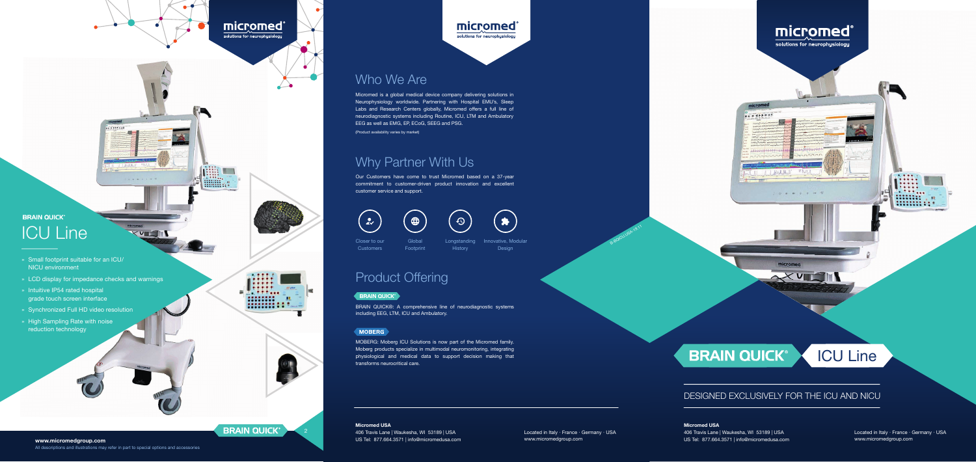# micromed<sup>®</sup>

## micromed® solutions for neurophysiology

## 2

All descriptions and illustrations may refer in part to special options and accessories **www.micromedgroup.com**

- » Small footprint suitable for an ICU/ NICU environment
- » LCD display for impedance checks and warnings

\*\*\*\*\*\*

**XVII** 

- » Intuitive IP54 rated hospital grade touch screen interface
- » Synchronized Full HD video resolution
- » High Sampling Rate with noise reduction technology





Located in Italy · France · Germany · USA www.micromedgroup.com

B-BQICU.USA-19.11

# ICU Line

**BRAIN QUICK®** 

Located in Italy · France · Germany · USA www.micromedgroup.com

 $\cdots$ 

**WWW.** 

# DESIGNED EXCLUSIVELY FOR THE ICU AND NICU



micromed®

solutions for neurophysiology

NEW SPACE

 $M_A, R, M, \ldots$ 

 $\mathcal{L}=\{\mathcal{O}\} \quad \text{as} \quad \mathcal{O}:=\{\mathcal{O}\} \quad \text{as} \quad \mathcal{O}=\{\mathcal{O}\} \quad \text{and} \quad \mathcal{O}=\{\mathcal{O}\} \quad \text{and} \quad \mathcal{O}=\{\mathcal{O}\} \quad \text{and} \quad \mathcal{O}=\{\mathcal{O}\} \quad \text{and} \quad \mathcal{O}=\{\mathcal{O}\} \quad \text{and} \quad \mathcal{O}=\{\mathcal{O}\} \quad \text{and} \quad \mathcal{O}=\{\mathcal{O}\} \quad \text{and} \quad \mathcal{O}=\{\mathcal{O$ 

micromer

 $\sim$ 

**Micromed USA** 406 Travis Lane | Waukesha, WI 53189 | USA US Tel: 877.664.3571 | info@micromedusa.com nnovative, Modular Design

**Micromed USA** 406 Travis Lane | Waukesha, WI 53189 | USA US Tel: 877.664.3571 | info@micromedusa.com

Our Customers have come to trust Micromed based on a 37-year commitment to customer-driven product innovation and excellent customer service and support.

# Why Partner With Us



Longstanding History

# Product Offering

## BRAIN QUICK®

Micromed is a global medical device company delivering solutions in Neurophysiology worldwide. Partnering with Hospital EMU's, Sleep Labs and Research Centers globally, Micromed offers a full line of neurodiagnostic systems including Routine, ICU, LTM and Ambulatory EEG as well as EMG, EP, ECoG, SEEG and PSG.

(Product availability varies by market)

# Who We Are

BRAIN QUICK®: A comprehensive line of neurodiagnostic systems including EEG, LTM, ICU and Ambulatory.

## MOBERG

MOBERG: Moberg ICU Solutions is now part of the Micromed family. Moberg products specialize in multimodal neuromonitoring, integrating physiological and medical data to support decision making that transforms neurocritical care.

**BRAIN QUICK®** 

18888 

 $=$   $\frac{1}{2}$ 

**SD** plus